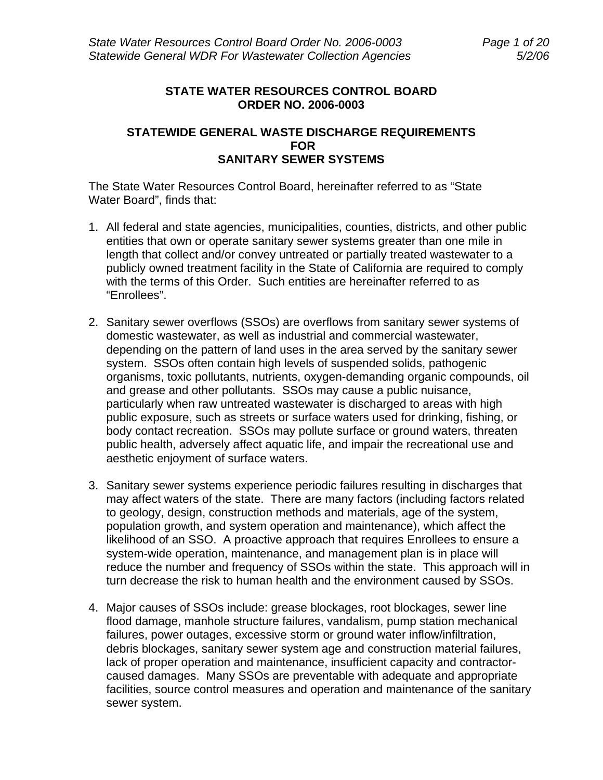## **STATE WATER RESOURCES CONTROL BOARD ORDER NO. 2006-0003**

### **STATEWIDE GENERAL WASTE DISCHARGE REQUIREMENTS FOR SANITARY SEWER SYSTEMS**

The State Water Resources Control Board, hereinafter referred to as "State Water Board", finds that:

- 1. All federal and state agencies, municipalities, counties, districts, and other public entities that own or operate sanitary sewer systems greater than one mile in length that collect and/or convey untreated or partially treated wastewater to a publicly owned treatment facility in the State of California are required to comply with the terms of this Order. Such entities are hereinafter referred to as "Enrollees".
- 2. Sanitary sewer overflows (SSOs) are overflows from sanitary sewer systems of domestic wastewater, as well as industrial and commercial wastewater, depending on the pattern of land uses in the area served by the sanitary sewer system. SSOs often contain high levels of suspended solids, pathogenic organisms, toxic pollutants, nutrients, oxygen-demanding organic compounds, oil and grease and other pollutants. SSOs may cause a public nuisance, particularly when raw untreated wastewater is discharged to areas with high public exposure, such as streets or surface waters used for drinking, fishing, or body contact recreation. SSOs may pollute surface or ground waters, threaten public health, adversely affect aquatic life, and impair the recreational use and aesthetic enjoyment of surface waters.
- 3. Sanitary sewer systems experience periodic failures resulting in discharges that may affect waters of the state. There are many factors (including factors related to geology, design, construction methods and materials, age of the system, population growth, and system operation and maintenance), which affect the likelihood of an SSO. A proactive approach that requires Enrollees to ensure a system-wide operation, maintenance, and management plan is in place will reduce the number and frequency of SSOs within the state. This approach will in turn decrease the risk to human health and the environment caused by SSOs.
- 4. Major causes of SSOs include: grease blockages, root blockages, sewer line flood damage, manhole structure failures, vandalism, pump station mechanical failures, power outages, excessive storm or ground water inflow/infiltration, debris blockages, sanitary sewer system age and construction material failures, lack of proper operation and maintenance, insufficient capacity and contractorcaused damages. Many SSOs are preventable with adequate and appropriate facilities, source control measures and operation and maintenance of the sanitary sewer system.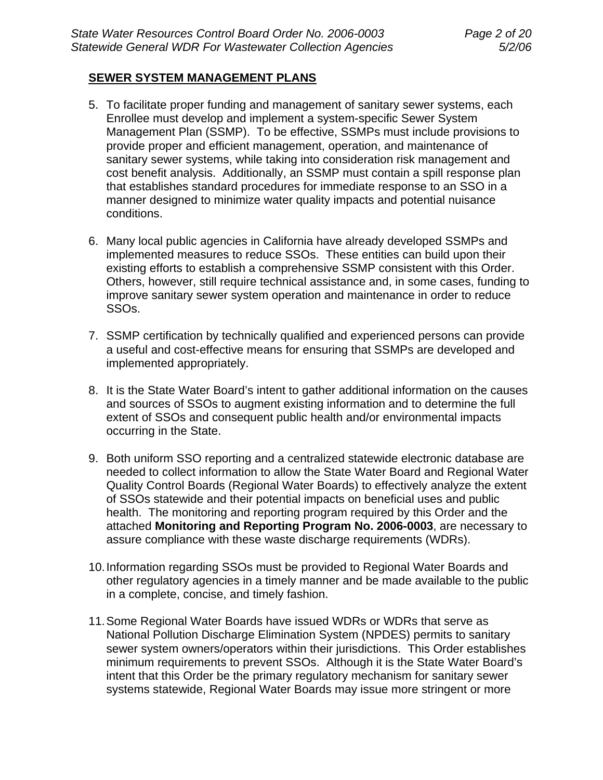### **SEWER SYSTEM MANAGEMENT PLANS**

- 5. To facilitate proper funding and management of sanitary sewer systems, each Enrollee must develop and implement a system-specific Sewer System Management Plan (SSMP). To be effective, SSMPs must include provisions to provide proper and efficient management, operation, and maintenance of sanitary sewer systems, while taking into consideration risk management and cost benefit analysis. Additionally, an SSMP must contain a spill response plan that establishes standard procedures for immediate response to an SSO in a manner designed to minimize water quality impacts and potential nuisance conditions.
- 6. Many local public agencies in California have already developed SSMPs and implemented measures to reduce SSOs. These entities can build upon their existing efforts to establish a comprehensive SSMP consistent with this Order. Others, however, still require technical assistance and, in some cases, funding to improve sanitary sewer system operation and maintenance in order to reduce SSOs.
- 7. SSMP certification by technically qualified and experienced persons can provide a useful and cost-effective means for ensuring that SSMPs are developed and implemented appropriately.
- 8. It is the State Water Board's intent to gather additional information on the causes and sources of SSOs to augment existing information and to determine the full extent of SSOs and consequent public health and/or environmental impacts occurring in the State.
- 9. Both uniform SSO reporting and a centralized statewide electronic database are needed to collect information to allow the State Water Board and Regional Water Quality Control Boards (Regional Water Boards) to effectively analyze the extent of SSOs statewide and their potential impacts on beneficial uses and public health. The monitoring and reporting program required by this Order and the attached **Monitoring and Reporting Program No. 2006-0003**, are necessary to assure compliance with these waste discharge requirements (WDRs).
- 10. Information regarding SSOs must be provided to Regional Water Boards and other regulatory agencies in a timely manner and be made available to the public in a complete, concise, and timely fashion.
- 11. Some Regional Water Boards have issued WDRs or WDRs that serve as National Pollution Discharge Elimination System (NPDES) permits to sanitary sewer system owners/operators within their jurisdictions. This Order establishes minimum requirements to prevent SSOs. Although it is the State Water Board's intent that this Order be the primary regulatory mechanism for sanitary sewer systems statewide, Regional Water Boards may issue more stringent or more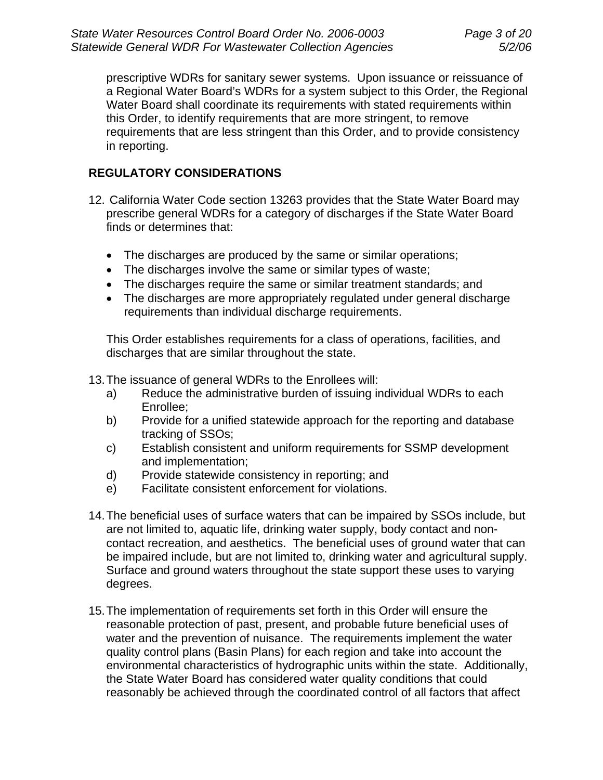prescriptive WDRs for sanitary sewer systems. Upon issuance or reissuance of a Regional Water Board's WDRs for a system subject to this Order, the Regional Water Board shall coordinate its requirements with stated requirements within this Order, to identify requirements that are more stringent, to remove requirements that are less stringent than this Order, and to provide consistency in reporting.

## **REGULATORY CONSIDERATIONS**

- 12. California Water Code section 13263 provides that the State Water Board may prescribe general WDRs for a category of discharges if the State Water Board finds or determines that:
	- The discharges are produced by the same or similar operations;
	- The discharges involve the same or similar types of waste;
	- The discharges require the same or similar treatment standards; and
	- The discharges are more appropriately regulated under general discharge requirements than individual discharge requirements.

This Order establishes requirements for a class of operations, facilities, and discharges that are similar throughout the state.

13. The issuance of general WDRs to the Enrollees will:

- a) Reduce the administrative burden of issuing individual WDRs to each Enrollee;
- b) Provide for a unified statewide approach for the reporting and database tracking of SSOs;
- c) Establish consistent and uniform requirements for SSMP development and implementation;
- d) Provide statewide consistency in reporting; and
- e) Facilitate consistent enforcement for violations.
- 14. The beneficial uses of surface waters that can be impaired by SSOs include, but are not limited to, aquatic life, drinking water supply, body contact and noncontact recreation, and aesthetics. The beneficial uses of ground water that can be impaired include, but are not limited to, drinking water and agricultural supply. Surface and ground waters throughout the state support these uses to varying degrees.
- 15. The implementation of requirements set forth in this Order will ensure the reasonable protection of past, present, and probable future beneficial uses of water and the prevention of nuisance. The requirements implement the water quality control plans (Basin Plans) for each region and take into account the environmental characteristics of hydrographic units within the state. Additionally, the State Water Board has considered water quality conditions that could reasonably be achieved through the coordinated control of all factors that affect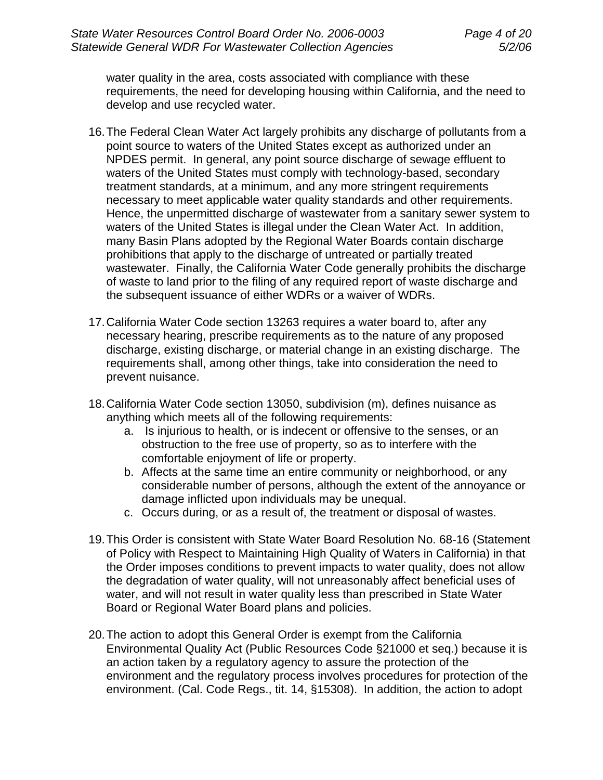water quality in the area, costs associated with compliance with these requirements, the need for developing housing within California, and the need to develop and use recycled water.

- 16. The Federal Clean Water Act largely prohibits any discharge of pollutants from a point source to waters of the United States except as authorized under an NPDES permit. In general, any point source discharge of sewage effluent to waters of the United States must comply with technology-based, secondary treatment standards, at a minimum, and any more stringent requirements necessary to meet applicable water quality standards and other requirements. Hence, the unpermitted discharge of wastewater from a sanitary sewer system to waters of the United States is illegal under the Clean Water Act. In addition, many Basin Plans adopted by the Regional Water Boards contain discharge prohibitions that apply to the discharge of untreated or partially treated wastewater. Finally, the California Water Code generally prohibits the discharge of waste to land prior to the filing of any required report of waste discharge and the subsequent issuance of either WDRs or a waiver of WDRs.
- 17. California Water Code section 13263 requires a water board to, after any necessary hearing, prescribe requirements as to the nature of any proposed discharge, existing discharge, or material change in an existing discharge. The requirements shall, among other things, take into consideration the need to prevent nuisance.
- 18. California Water Code section 13050, subdivision (m), defines nuisance as anything which meets all of the following requirements:
	- a. Is injurious to health, or is indecent or offensive to the senses, or an obstruction to the free use of property, so as to interfere with the comfortable enjoyment of life or property.
	- b. Affects at the same time an entire community or neighborhood, or any considerable number of persons, although the extent of the annoyance or damage inflicted upon individuals may be unequal.
	- c. Occurs during, or as a result of, the treatment or disposal of wastes.
- 19. This Order is consistent with State Water Board Resolution No. 68-16 (Statement of Policy with Respect to Maintaining High Quality of Waters in California) in that the Order imposes conditions to prevent impacts to water quality, does not allow the degradation of water quality, will not unreasonably affect beneficial uses of water, and will not result in water quality less than prescribed in State Water Board or Regional Water Board plans and policies.
- 20. The action to adopt this General Order is exempt from the California Environmental Quality Act (Public Resources Code §21000 et seq.) because it is an action taken by a regulatory agency to assure the protection of the environment and the regulatory process involves procedures for protection of the environment. (Cal. Code Regs., tit. 14, §15308). In addition, the action to adopt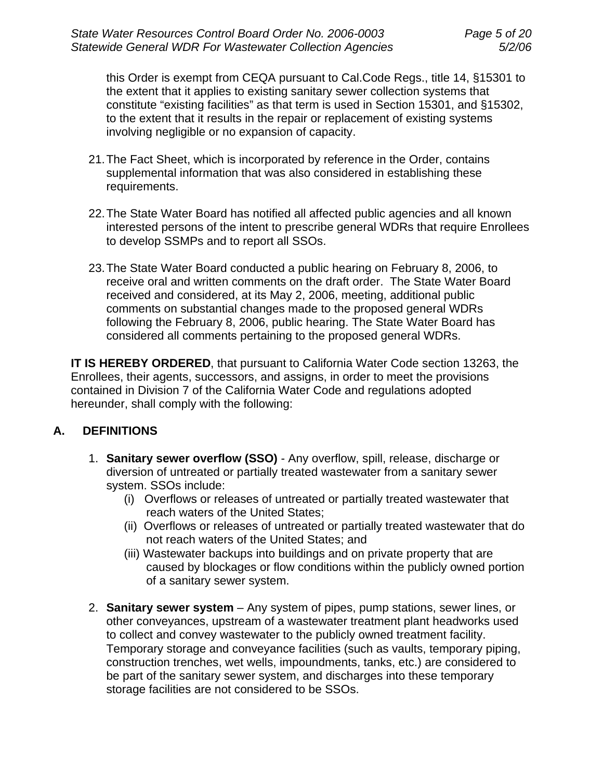this Order is exempt from CEQA pursuant to Cal.Code Regs., title 14, §15301 to the extent that it applies to existing sanitary sewer collection systems that constitute "existing facilities" as that term is used in Section 15301, and §15302, to the extent that it results in the repair or replacement of existing systems involving negligible or no expansion of capacity.

- 21. The Fact Sheet, which is incorporated by reference in the Order, contains supplemental information that was also considered in establishing these requirements.
- 22. The State Water Board has notified all affected public agencies and all known interested persons of the intent to prescribe general WDRs that require Enrollees to develop SSMPs and to report all SSOs.
- 23. The State Water Board conducted a public hearing on February 8, 2006, to receive oral and written comments on the draft order. The State Water Board received and considered, at its May 2, 2006, meeting, additional public comments on substantial changes made to the proposed general WDRs following the February 8, 2006, public hearing. The State Water Board has considered all comments pertaining to the proposed general WDRs.

**IT IS HEREBY ORDERED**, that pursuant to California Water Code section 13263, the Enrollees, their agents, successors, and assigns, in order to meet the provisions contained in Division 7 of the California Water Code and regulations adopted hereunder, shall comply with the following:

## **A. DEFINITIONS**

- 1. **Sanitary sewer overflow (SSO)** Any overflow, spill, release, discharge or diversion of untreated or partially treated wastewater from a sanitary sewer system. SSOs include:
	- (i) Overflows or releases of untreated or partially treated wastewater that reach waters of the United States;
	- (ii) Overflows or releases of untreated or partially treated wastewater that do not reach waters of the United States; and
	- (iii) Wastewater backups into buildings and on private property that are caused by blockages or flow conditions within the publicly owned portion of a sanitary sewer system.
- 2. **Sanitary sewer system** Any system of pipes, pump stations, sewer lines, or other conveyances, upstream of a wastewater treatment plant headworks used to collect and convey wastewater to the publicly owned treatment facility. Temporary storage and conveyance facilities (such as vaults, temporary piping, construction trenches, wet wells, impoundments, tanks, etc.) are considered to be part of the sanitary sewer system, and discharges into these temporary storage facilities are not considered to be SSOs.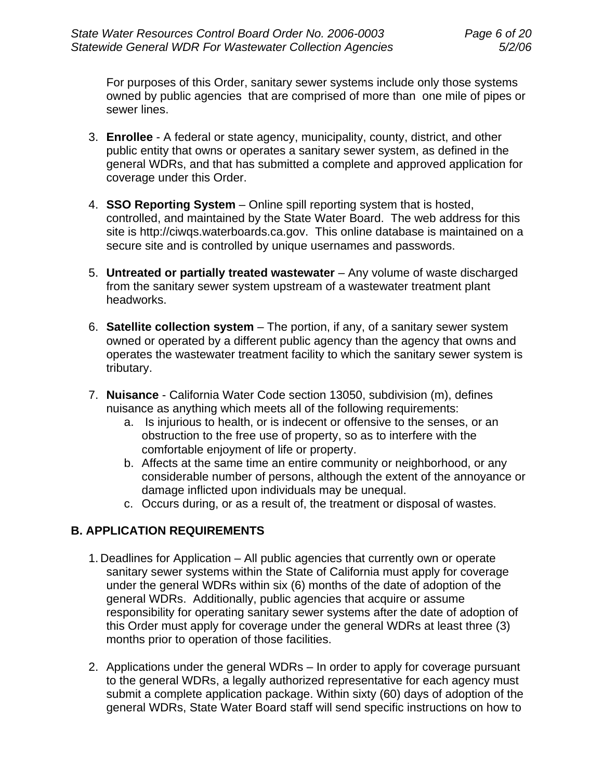For purposes of this Order, sanitary sewer systems include only those systems owned by public agencies that are comprised of more than one mile of pipes or sewer lines.

- 3. **Enrollee** A federal or state agency, municipality, county, district, and other public entity that owns or operates a sanitary sewer system, as defined in the general WDRs, and that has submitted a complete and approved application for coverage under this Order.
- 4. **SSO Reporting System** Online spill reporting system that is hosted, controlled, and maintained by the State Water Board. The web address for this site is http://ciwqs.waterboards.ca.gov. This online database is maintained on a secure site and is controlled by unique usernames and passwords.
- 5. **Untreated or partially treated wastewater** Any volume of waste discharged from the sanitary sewer system upstream of a wastewater treatment plant headworks.
- 6. **Satellite collection system**  The portion, if any, of a sanitary sewer system owned or operated by a different public agency than the agency that owns and operates the wastewater treatment facility to which the sanitary sewer system is tributary.
- 7. **Nuisance**  California Water Code section 13050, subdivision (m), defines nuisance as anything which meets all of the following requirements:
	- a. Is injurious to health, or is indecent or offensive to the senses, or an obstruction to the free use of property, so as to interfere with the comfortable enjoyment of life or property.
	- b. Affects at the same time an entire community or neighborhood, or any considerable number of persons, although the extent of the annoyance or damage inflicted upon individuals may be unequal.
	- c. Occurs during, or as a result of, the treatment or disposal of wastes.

## **B. APPLICATION REQUIREMENTS**

- 1. Deadlines for Application All public agencies that currently own or operate sanitary sewer systems within the State of California must apply for coverage under the general WDRs within six (6) months of the date of adoption of the general WDRs. Additionally, public agencies that acquire or assume responsibility for operating sanitary sewer systems after the date of adoption of this Order must apply for coverage under the general WDRs at least three (3) months prior to operation of those facilities.
- 2. Applications under the general WDRs In order to apply for coverage pursuant to the general WDRs, a legally authorized representative for each agency must submit a complete application package. Within sixty (60) days of adoption of the general WDRs, State Water Board staff will send specific instructions on how to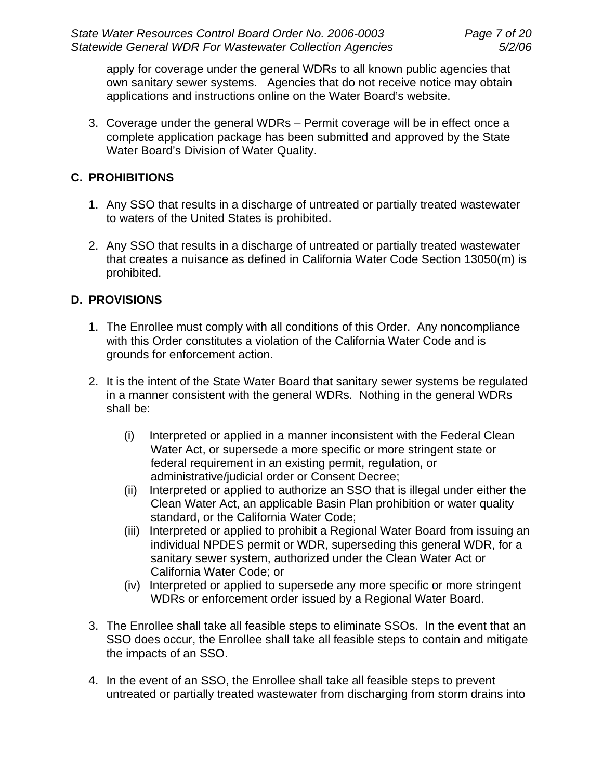apply for coverage under the general WDRs to all known public agencies that own sanitary sewer systems. Agencies that do not receive notice may obtain applications and instructions online on the Water Board's website.

3. Coverage under the general WDRs – Permit coverage will be in effect once a complete application package has been submitted and approved by the State Water Board's Division of Water Quality.

## **C. PROHIBITIONS**

- 1. Any SSO that results in a discharge of untreated or partially treated wastewater to waters of the United States is prohibited.
- 2. Any SSO that results in a discharge of untreated or partially treated wastewater that creates a nuisance as defined in California Water Code Section 13050(m) is prohibited.

# **D. PROVISIONS**

- 1. The Enrollee must comply with all conditions of this Order. Any noncompliance with this Order constitutes a violation of the California Water Code and is grounds for enforcement action.
- 2. It is the intent of the State Water Board that sanitary sewer systems be regulated in a manner consistent with the general WDRs. Nothing in the general WDRs shall be:
	- (i) Interpreted or applied in a manner inconsistent with the Federal Clean Water Act, or supersede a more specific or more stringent state or federal requirement in an existing permit, regulation, or administrative/judicial order or Consent Decree;
	- (ii) Interpreted or applied to authorize an SSO that is illegal under either the Clean Water Act, an applicable Basin Plan prohibition or water quality standard, or the California Water Code;
	- (iii) Interpreted or applied to prohibit a Regional Water Board from issuing an individual NPDES permit or WDR, superseding this general WDR, for a sanitary sewer system, authorized under the Clean Water Act or California Water Code; or
	- (iv) Interpreted or applied to supersede any more specific or more stringent WDRs or enforcement order issued by a Regional Water Board.
- 3. The Enrollee shall take all feasible steps to eliminate SSOs. In the event that an SSO does occur, the Enrollee shall take all feasible steps to contain and mitigate the impacts of an SSO.
- 4. In the event of an SSO, the Enrollee shall take all feasible steps to prevent untreated or partially treated wastewater from discharging from storm drains into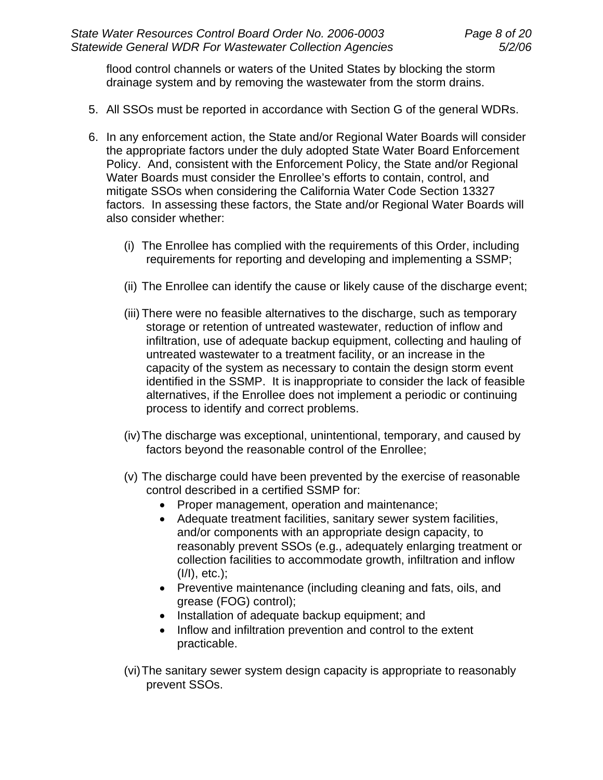flood control channels or waters of the United States by blocking the storm drainage system and by removing the wastewater from the storm drains.

- 5. All SSOs must be reported in accordance with Section G of the general WDRs.
- 6. In any enforcement action, the State and/or Regional Water Boards will consider the appropriate factors under the duly adopted State Water Board Enforcement Policy. And, consistent with the Enforcement Policy, the State and/or Regional Water Boards must consider the Enrollee's efforts to contain, control, and mitigate SSOs when considering the California Water Code Section 13327 factors. In assessing these factors, the State and/or Regional Water Boards will also consider whether:
	- (i) The Enrollee has complied with the requirements of this Order, including requirements for reporting and developing and implementing a SSMP;
	- (ii) The Enrollee can identify the cause or likely cause of the discharge event;
	- (iii) There were no feasible alternatives to the discharge, such as temporary storage or retention of untreated wastewater, reduction of inflow and infiltration, use of adequate backup equipment, collecting and hauling of untreated wastewater to a treatment facility, or an increase in the capacity of the system as necessary to contain the design storm event identified in the SSMP. It is inappropriate to consider the lack of feasible alternatives, if the Enrollee does not implement a periodic or continuing process to identify and correct problems.
	- (iv) The discharge was exceptional, unintentional, temporary, and caused by factors beyond the reasonable control of the Enrollee;
	- (v) The discharge could have been prevented by the exercise of reasonable control described in a certified SSMP for:
		- Proper management, operation and maintenance;
		- Adequate treatment facilities, sanitary sewer system facilities, and/or components with an appropriate design capacity, to reasonably prevent SSOs (e.g., adequately enlarging treatment or collection facilities to accommodate growth, infiltration and inflow (I/I), etc.);
		- Preventive maintenance (including cleaning and fats, oils, and grease (FOG) control);
		- Installation of adequate backup equipment; and
		- Inflow and infiltration prevention and control to the extent practicable.
	- (vi) The sanitary sewer system design capacity is appropriate to reasonably prevent SSOs.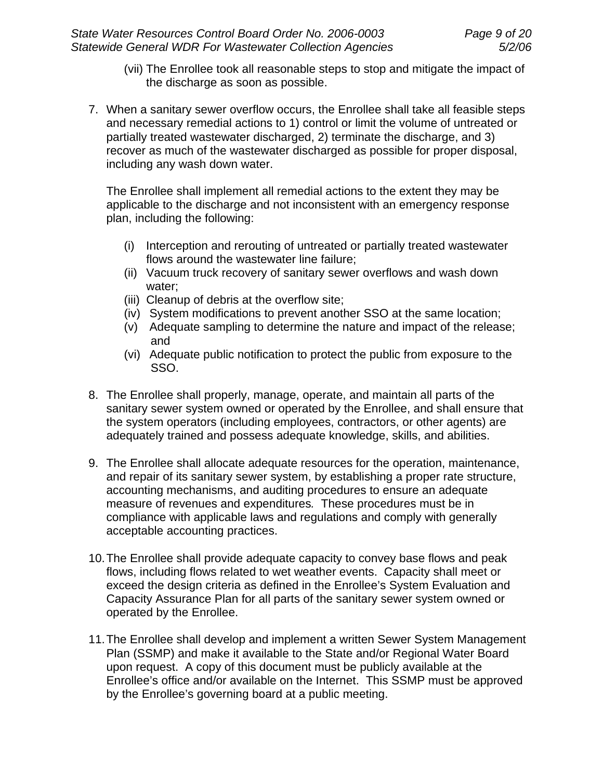- (vii) The Enrollee took all reasonable steps to stop and mitigate the impact of the discharge as soon as possible.
- 7. When a sanitary sewer overflow occurs, the Enrollee shall take all feasible steps and necessary remedial actions to 1) control or limit the volume of untreated or partially treated wastewater discharged, 2) terminate the discharge, and 3) recover as much of the wastewater discharged as possible for proper disposal, including any wash down water.

The Enrollee shall implement all remedial actions to the extent they may be applicable to the discharge and not inconsistent with an emergency response plan, including the following:

- (i) Interception and rerouting of untreated or partially treated wastewater flows around the wastewater line failure;
- (ii) Vacuum truck recovery of sanitary sewer overflows and wash down water;
- (iii) Cleanup of debris at the overflow site;
- (iv) System modifications to prevent another SSO at the same location;
- (v) Adequate sampling to determine the nature and impact of the release; and
- (vi) Adequate public notification to protect the public from exposure to the SSO.
- 8. The Enrollee shall properly, manage, operate, and maintain all parts of the sanitary sewer system owned or operated by the Enrollee, and shall ensure that the system operators (including employees, contractors, or other agents) are adequately trained and possess adequate knowledge, skills, and abilities.
- 9. The Enrollee shall allocate adequate resources for the operation, maintenance, and repair of its sanitary sewer system, by establishing a proper rate structure, accounting mechanisms, and auditing procedures to ensure an adequate measure of revenues and expenditures*.* These procedures must be in compliance with applicable laws and regulations and comply with generally acceptable accounting practices.
- 10. The Enrollee shall provide adequate capacity to convey base flows and peak flows, including flows related to wet weather events. Capacity shall meet or exceed the design criteria as defined in the Enrollee's System Evaluation and Capacity Assurance Plan for all parts of the sanitary sewer system owned or operated by the Enrollee.
- 11. The Enrollee shall develop and implement a written Sewer System Management Plan (SSMP) and make it available to the State and/or Regional Water Board upon request. A copy of this document must be publicly available at the Enrollee's office and/or available on the Internet. This SSMP must be approved by the Enrollee's governing board at a public meeting.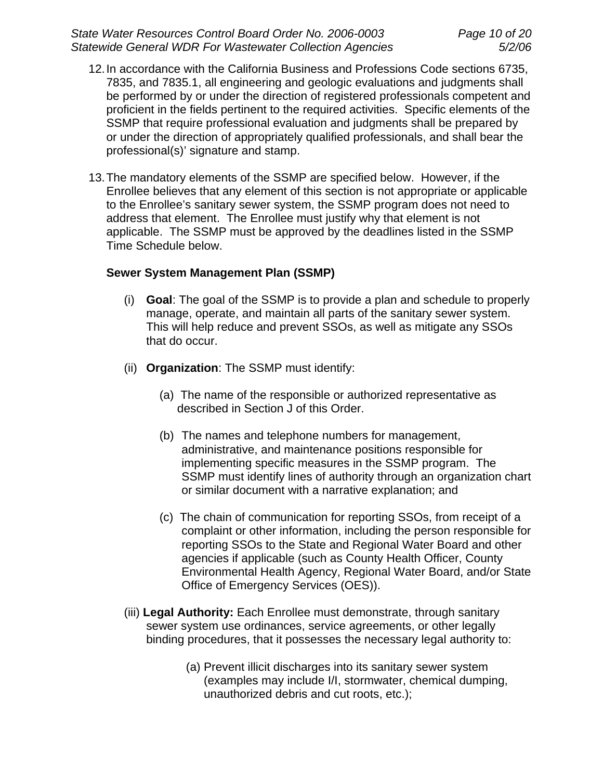- 12. In accordance with the California Business and Professions Code sections 6735, 7835, and 7835.1, all engineering and geologic evaluations and judgments shall be performed by or under the direction of registered professionals competent and proficient in the fields pertinent to the required activities. Specific elements of the SSMP that require professional evaluation and judgments shall be prepared by or under the direction of appropriately qualified professionals, and shall bear the professional(s)' signature and stamp.
- 13. The mandatory elements of the SSMP are specified below. However, if the Enrollee believes that any element of this section is not appropriate or applicable to the Enrollee's sanitary sewer system, the SSMP program does not need to address that element. The Enrollee must justify why that element is not applicable. The SSMP must be approved by the deadlines listed in the SSMP Time Schedule below.

### **Sewer System Management Plan (SSMP)**

- (i) **Goal**: The goal of the SSMP is to provide a plan and schedule to properly manage, operate, and maintain all parts of the sanitary sewer system. This will help reduce and prevent SSOs, as well as mitigate any SSOs that do occur.
- (ii) **Organization**: The SSMP must identify:
	- (a) The name of the responsible or authorized representative as described in Section J of this Order.
	- (b) The names and telephone numbers for management, administrative, and maintenance positions responsible for implementing specific measures in the SSMP program. The SSMP must identify lines of authority through an organization chart or similar document with a narrative explanation; and
	- (c) The chain of communication for reporting SSOs, from receipt of a complaint or other information, including the person responsible for reporting SSOs to the State and Regional Water Board and other agencies if applicable (such as County Health Officer, County Environmental Health Agency, Regional Water Board, and/or State Office of Emergency Services (OES)).
- (iii) **Legal Authority:** Each Enrollee must demonstrate, through sanitary sewer system use ordinances, service agreements, or other legally binding procedures, that it possesses the necessary legal authority to:
	- (a) Prevent illicit discharges into its sanitary sewer system (examples may include I/I, stormwater, chemical dumping, unauthorized debris and cut roots, etc.);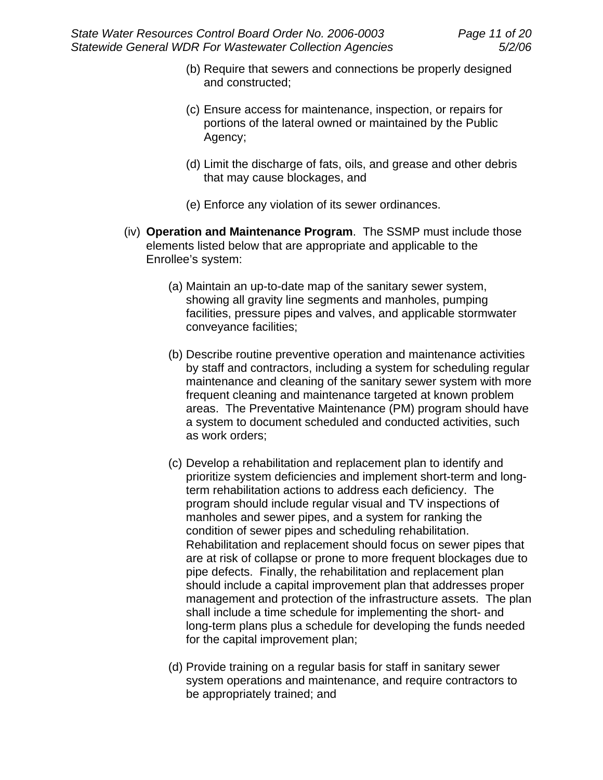- (b) Require that sewers and connections be properly designed and constructed;
- (c) Ensure access for maintenance, inspection, or repairs for portions of the lateral owned or maintained by the Public Agency;
- (d) Limit the discharge of fats, oils, and grease and other debris that may cause blockages, and
- (e) Enforce any violation of its sewer ordinances.
- (iv) **Operation and Maintenance Program**. The SSMP must include those elements listed below that are appropriate and applicable to the Enrollee's system:
	- (a) Maintain an up-to-date map of the sanitary sewer system, showing all gravity line segments and manholes, pumping facilities, pressure pipes and valves, and applicable stormwater conveyance facilities;
	- (b) Describe routine preventive operation and maintenance activities by staff and contractors, including a system for scheduling regular maintenance and cleaning of the sanitary sewer system with more frequent cleaning and maintenance targeted at known problem areas. The Preventative Maintenance (PM) program should have a system to document scheduled and conducted activities, such as work orders;
	- (c) Develop a rehabilitation and replacement plan to identify and prioritize system deficiencies and implement short-term and longterm rehabilitation actions to address each deficiency. The program should include regular visual and TV inspections of manholes and sewer pipes, and a system for ranking the condition of sewer pipes and scheduling rehabilitation. Rehabilitation and replacement should focus on sewer pipes that are at risk of collapse or prone to more frequent blockages due to pipe defects. Finally, the rehabilitation and replacement plan should include a capital improvement plan that addresses proper management and protection of the infrastructure assets. The plan shall include a time schedule for implementing the short- and long-term plans plus a schedule for developing the funds needed for the capital improvement plan;
	- (d) Provide training on a regular basis for staff in sanitary sewer system operations and maintenance, and require contractors to be appropriately trained; and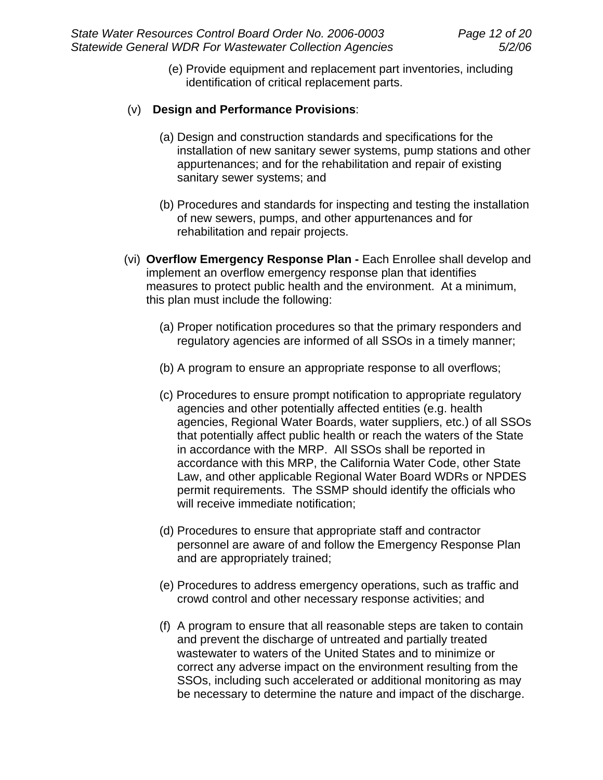(e) Provide equipment and replacement part inventories, including identification of critical replacement parts.

## (v) **Design and Performance Provisions**:

- (a) Design and construction standards and specifications for the installation of new sanitary sewer systems, pump stations and other appurtenances; and for the rehabilitation and repair of existing sanitary sewer systems; and
- (b) Procedures and standards for inspecting and testing the installation of new sewers, pumps, and other appurtenances and for rehabilitation and repair projects.
- (vi) **Overflow Emergency Response Plan -** Each Enrollee shall develop and implement an overflow emergency response plan that identifies measures to protect public health and the environment. At a minimum, this plan must include the following:
	- (a) Proper notification procedures so that the primary responders and regulatory agencies are informed of all SSOs in a timely manner;
	- (b) A program to ensure an appropriate response to all overflows;
	- (c) Procedures to ensure prompt notification to appropriate regulatory agencies and other potentially affected entities (e.g. health agencies, Regional Water Boards, water suppliers, etc.) of all SSOs that potentially affect public health or reach the waters of the State in accordance with the MRP. All SSOs shall be reported in accordance with this MRP, the California Water Code, other State Law, and other applicable Regional Water Board WDRs or NPDES permit requirements. The SSMP should identify the officials who will receive immediate notification;
	- (d) Procedures to ensure that appropriate staff and contractor personnel are aware of and follow the Emergency Response Plan and are appropriately trained;
	- (e) Procedures to address emergency operations, such as traffic and crowd control and other necessary response activities; and
	- (f) A program to ensure that all reasonable steps are taken to contain and prevent the discharge of untreated and partially treated wastewater to waters of the United States and to minimize or correct any adverse impact on the environment resulting from the SSOs, including such accelerated or additional monitoring as may be necessary to determine the nature and impact of the discharge.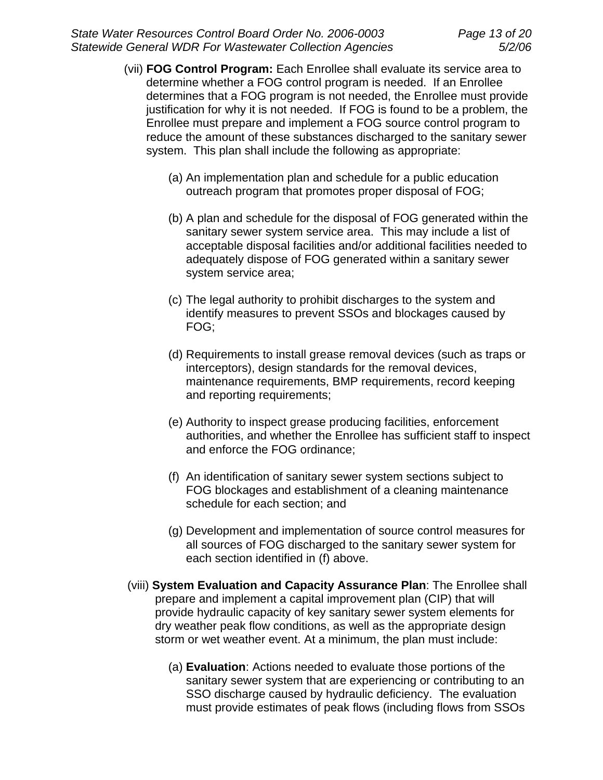- (vii) **FOG Control Program:** Each Enrollee shall evaluate its service area to determine whether a FOG control program is needed. If an Enrollee determines that a FOG program is not needed, the Enrollee must provide justification for why it is not needed. If FOG is found to be a problem, the Enrollee must prepare and implement a FOG source control program to reduce the amount of these substances discharged to the sanitary sewer system. This plan shall include the following as appropriate:
	- (a) An implementation plan and schedule for a public education outreach program that promotes proper disposal of FOG;
	- (b) A plan and schedule for the disposal of FOG generated within the sanitary sewer system service area. This may include a list of acceptable disposal facilities and/or additional facilities needed to adequately dispose of FOG generated within a sanitary sewer system service area;
	- (c) The legal authority to prohibit discharges to the system and identify measures to prevent SSOs and blockages caused by FOG;
	- (d) Requirements to install grease removal devices (such as traps or interceptors), design standards for the removal devices, maintenance requirements, BMP requirements, record keeping and reporting requirements;
	- (e) Authority to inspect grease producing facilities, enforcement authorities, and whether the Enrollee has sufficient staff to inspect and enforce the FOG ordinance;
	- (f) An identification of sanitary sewer system sections subject to FOG blockages and establishment of a cleaning maintenance schedule for each section; and
	- (g) Development and implementation of source control measures for all sources of FOG discharged to the sanitary sewer system for each section identified in (f) above.
- (viii) **System Evaluation and Capacity Assurance Plan**: The Enrollee shall prepare and implement a capital improvement plan (CIP) that will provide hydraulic capacity of key sanitary sewer system elements for dry weather peak flow conditions, as well as the appropriate design storm or wet weather event. At a minimum, the plan must include:
	- (a) **Evaluation**: Actions needed to evaluate those portions of the sanitary sewer system that are experiencing or contributing to an SSO discharge caused by hydraulic deficiency. The evaluation must provide estimates of peak flows (including flows from SSOs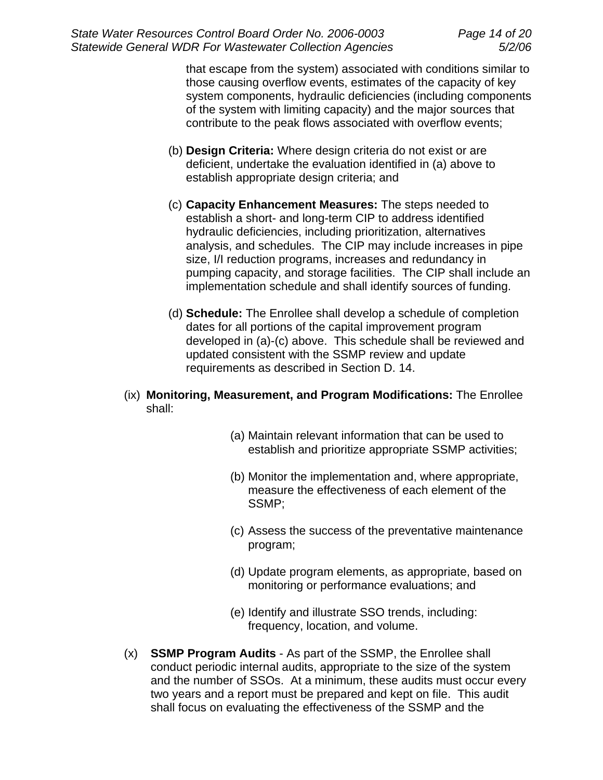that escape from the system) associated with conditions similar to those causing overflow events, estimates of the capacity of key system components, hydraulic deficiencies (including components of the system with limiting capacity) and the major sources that contribute to the peak flows associated with overflow events;

- (b) **Design Criteria:** Where design criteria do not exist or are deficient, undertake the evaluation identified in (a) above to establish appropriate design criteria; and
- (c) **Capacity Enhancement Measures:** The steps needed to establish a short- and long-term CIP to address identified hydraulic deficiencies, including prioritization, alternatives analysis, and schedules. The CIP may include increases in pipe size, I/I reduction programs, increases and redundancy in pumping capacity, and storage facilities. The CIP shall include an implementation schedule and shall identify sources of funding.
- (d) **Schedule:** The Enrollee shall develop a schedule of completion dates for all portions of the capital improvement program developed in (a)-(c) above. This schedule shall be reviewed and updated consistent with the SSMP review and update requirements as described in Section D. 14.
- (ix) **Monitoring, Measurement, and Program Modifications:** The Enrollee shall:
	- (a) Maintain relevant information that can be used to establish and prioritize appropriate SSMP activities;
	- (b) Monitor the implementation and, where appropriate, measure the effectiveness of each element of the SSMP;
	- (c) Assess the success of the preventative maintenance program;
	- (d) Update program elements, as appropriate, based on monitoring or performance evaluations; and
	- (e) Identify and illustrate SSO trends, including: frequency, location, and volume.
- (x) **SSMP Program Audits** As part of the SSMP, the Enrollee shall conduct periodic internal audits, appropriate to the size of the system and the number of SSOs. At a minimum, these audits must occur every two years and a report must be prepared and kept on file. This audit shall focus on evaluating the effectiveness of the SSMP and the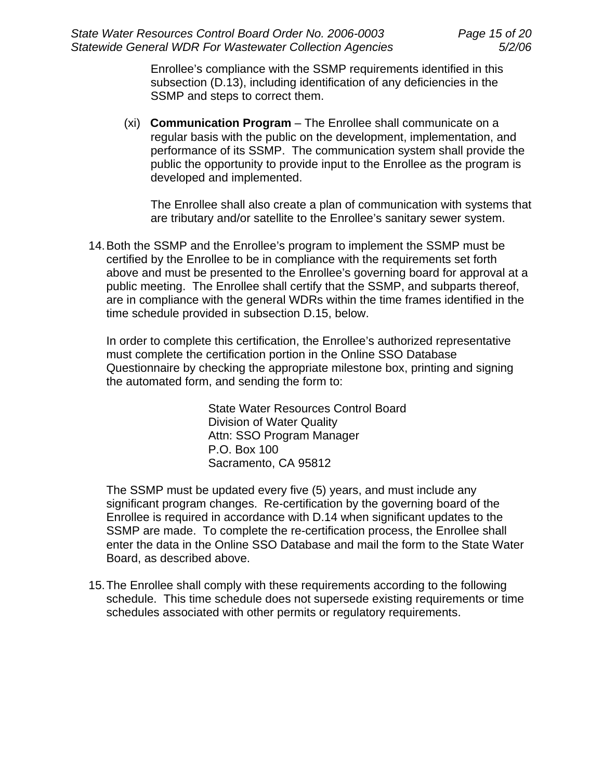Enrollee's compliance with the SSMP requirements identified in this subsection (D.13), including identification of any deficiencies in the SSMP and steps to correct them.

(xi) **Communication Program** – The Enrollee shall communicate on a regular basis with the public on the development, implementation, and performance of its SSMP. The communication system shall provide the public the opportunity to provide input to the Enrollee as the program is developed and implemented.

The Enrollee shall also create a plan of communication with systems that are tributary and/or satellite to the Enrollee's sanitary sewer system.

14. Both the SSMP and the Enrollee's program to implement the SSMP must be certified by the Enrollee to be in compliance with the requirements set forth above and must be presented to the Enrollee's governing board for approval at a public meeting. The Enrollee shall certify that the SSMP, and subparts thereof, are in compliance with the general WDRs within the time frames identified in the time schedule provided in subsection D.15, below.

In order to complete this certification, the Enrollee's authorized representative must complete the certification portion in the Online SSO Database Questionnaire by checking the appropriate milestone box, printing and signing the automated form, and sending the form to:

> State Water Resources Control Board Division of Water Quality Attn: SSO Program Manager P.O. Box 100 Sacramento, CA 95812

The SSMP must be updated every five (5) years, and must include any significant program changes. Re-certification by the governing board of the Enrollee is required in accordance with D.14 when significant updates to the SSMP are made. To complete the re-certification process, the Enrollee shall enter the data in the Online SSO Database and mail the form to the State Water Board, as described above.

15. The Enrollee shall comply with these requirements according to the following schedule. This time schedule does not supersede existing requirements or time schedules associated with other permits or regulatory requirements.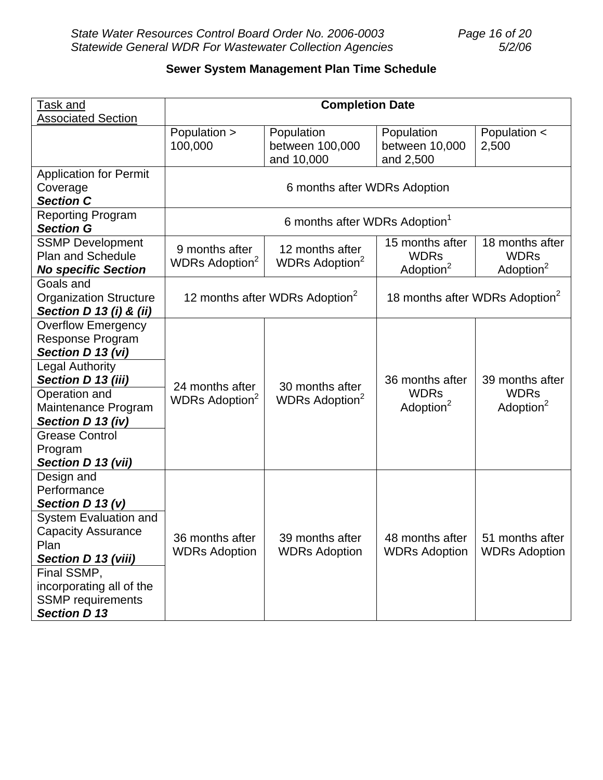# **Sewer System Management Plan Time Schedule**

| <b>Task and</b>                              | <b>Completion Date</b>                     |                            |                                            |                       |
|----------------------------------------------|--------------------------------------------|----------------------------|--------------------------------------------|-----------------------|
| <b>Associated Section</b>                    |                                            |                            |                                            |                       |
|                                              | Population >                               | Population                 | Population                                 | Population <          |
|                                              | 100,000                                    | between 100,000            | between 10,000                             | 2,500                 |
|                                              |                                            | and 10,000                 | and 2,500                                  |                       |
| <b>Application for Permit</b>                | 6 months after WDRs Adoption               |                            |                                            |                       |
| Coverage                                     |                                            |                            |                                            |                       |
| <b>Section C</b>                             |                                            |                            |                                            |                       |
| <b>Reporting Program</b><br><b>Section G</b> | 6 months after WDRs Adoption <sup>1</sup>  |                            |                                            |                       |
| <b>SSMP Development</b>                      |                                            |                            | 15 months after                            | 18 months after       |
| <b>Plan and Schedule</b>                     | 9 months after                             | 12 months after            | <b>WDRs</b>                                | <b>WDRs</b>           |
| <b>No specific Section</b>                   | WDRs Adoption <sup>2</sup>                 | WDRs Adoption <sup>2</sup> | Adoption <sup>2</sup>                      | Adoption <sup>2</sup> |
| Goals and                                    |                                            |                            |                                            |                       |
| <b>Organization Structure</b>                | 12 months after WDRs Adoption <sup>2</sup> |                            | 18 months after WDRs Adoption <sup>2</sup> |                       |
| Section D 13 (i) & (ii)                      |                                            |                            |                                            |                       |
| <b>Overflow Emergency</b>                    |                                            |                            |                                            |                       |
| <b>Response Program</b>                      |                                            |                            |                                            |                       |
| Section D 13 (vi)                            |                                            |                            |                                            |                       |
| <b>Legal Authority</b>                       |                                            |                            |                                            |                       |
| Section D 13 (iii)                           | 24 months after                            | 30 months after            | 36 months after                            | 39 months after       |
| Operation and                                | WDRs Adoption <sup>2</sup>                 | WDRs Adoption <sup>2</sup> | <b>WDRs</b>                                | <b>WDRs</b>           |
| Maintenance Program                          |                                            |                            | Adoption <sup>2</sup>                      | Adoption <sup>2</sup> |
| Section D 13 (iv)                            |                                            |                            |                                            |                       |
| <b>Grease Control</b>                        |                                            |                            |                                            |                       |
| Program                                      |                                            |                            |                                            |                       |
| Section D 13 (vii)                           |                                            |                            |                                            |                       |
| Design and                                   |                                            |                            |                                            |                       |
| Performance                                  |                                            |                            |                                            |                       |
| Section D 13 (v)                             |                                            |                            |                                            |                       |
| System Evaluation and                        |                                            |                            |                                            |                       |
| <b>Capacity Assurance</b>                    | 36 months after                            | 39 months after            | 48 months after                            | 51 months after       |
| Plan                                         | <b>WDRs Adoption</b>                       | <b>WDRs Adoption</b>       | <b>WDRs Adoption</b>                       | <b>WDRs Adoption</b>  |
| Section D 13 (viii)                          |                                            |                            |                                            |                       |
| Final SSMP,                                  |                                            |                            |                                            |                       |
| incorporating all of the                     |                                            |                            |                                            |                       |
| <b>SSMP</b> requirements                     |                                            |                            |                                            |                       |
| <b>Section D 13</b>                          |                                            |                            |                                            |                       |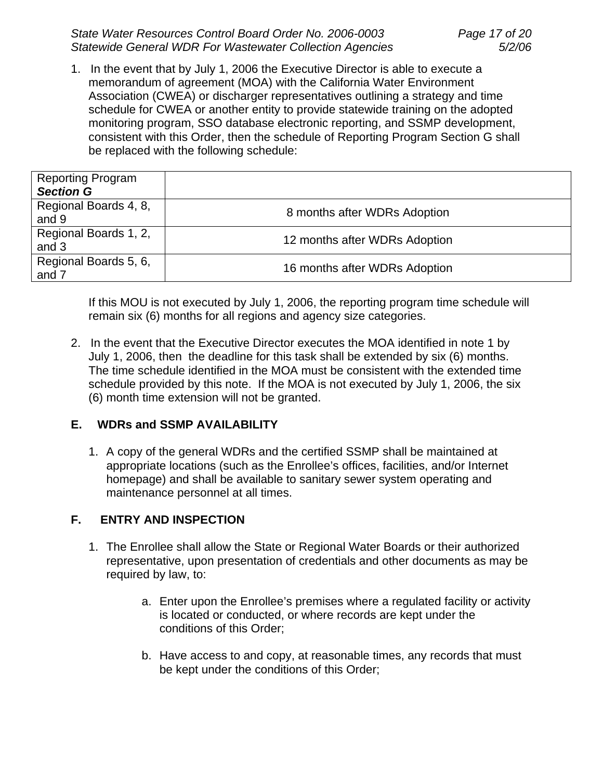*State Water Resources Control Board Order No. 2006-0003 Page 17 of 20 Statewide General WDR For Wastewater Collection Agencies 5/2/06* 

1. In the event that by July 1, 2006 the Executive Director is able to execute a memorandum of agreement (MOA) with the California Water Environment Association (CWEA) or discharger representatives outlining a strategy and time schedule for CWEA or another entity to provide statewide training on the adopted monitoring program, SSO database electronic reporting, and SSMP development, consistent with this Order, then the schedule of Reporting Program Section G shall be replaced with the following schedule:

| <b>Reporting Program</b><br><b>Section G</b> |                               |
|----------------------------------------------|-------------------------------|
| Regional Boards 4, 8,<br>and 9               | 8 months after WDRs Adoption  |
| Regional Boards 1, 2,<br>and 3               | 12 months after WDRs Adoption |
| Regional Boards 5, 6,<br>and 7               | 16 months after WDRs Adoption |

If this MOU is not executed by July 1, 2006, the reporting program time schedule will remain six (6) months for all regions and agency size categories.

2. In the event that the Executive Director executes the MOA identified in note 1 by July 1, 2006, then the deadline for this task shall be extended by six (6) months. The time schedule identified in the MOA must be consistent with the extended time schedule provided by this note. If the MOA is not executed by July 1, 2006, the six (6) month time extension will not be granted.

## **E. WDRs and SSMP AVAILABILITY**

1. A copy of the general WDRs and the certified SSMP shall be maintained at appropriate locations (such as the Enrollee's offices, facilities, and/or Internet homepage) and shall be available to sanitary sewer system operating and maintenance personnel at all times.

## **F. ENTRY AND INSPECTION**

- 1. The Enrollee shall allow the State or Regional Water Boards or their authorized representative, upon presentation of credentials and other documents as may be required by law, to:
	- a. Enter upon the Enrollee's premises where a regulated facility or activity is located or conducted, or where records are kept under the conditions of this Order;
	- b. Have access to and copy, at reasonable times, any records that must be kept under the conditions of this Order;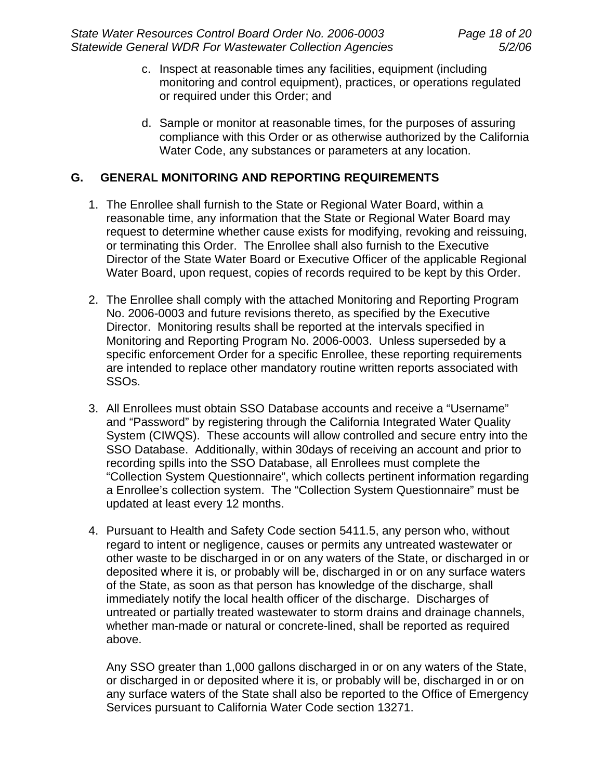- c. Inspect at reasonable times any facilities, equipment (including monitoring and control equipment), practices, or operations regulated or required under this Order; and
- d. Sample or monitor at reasonable times, for the purposes of assuring compliance with this Order or as otherwise authorized by the California Water Code, any substances or parameters at any location.

### **G. GENERAL MONITORING AND REPORTING REQUIREMENTS**

- 1. The Enrollee shall furnish to the State or Regional Water Board, within a reasonable time, any information that the State or Regional Water Board may request to determine whether cause exists for modifying, revoking and reissuing, or terminating this Order. The Enrollee shall also furnish to the Executive Director of the State Water Board or Executive Officer of the applicable Regional Water Board, upon request, copies of records required to be kept by this Order.
- 2. The Enrollee shall comply with the attached Monitoring and Reporting Program No. 2006-0003 and future revisions thereto, as specified by the Executive Director. Monitoring results shall be reported at the intervals specified in Monitoring and Reporting Program No. 2006-0003. Unless superseded by a specific enforcement Order for a specific Enrollee, these reporting requirements are intended to replace other mandatory routine written reports associated with SSOs.
- 3. All Enrollees must obtain SSO Database accounts and receive a "Username" and "Password" by registering through the California Integrated Water Quality System (CIWQS). These accounts will allow controlled and secure entry into the SSO Database. Additionally, within 30days of receiving an account and prior to recording spills into the SSO Database, all Enrollees must complete the "Collection System Questionnaire", which collects pertinent information regarding a Enrollee's collection system. The "Collection System Questionnaire" must be updated at least every 12 months.
- 4. Pursuant to Health and Safety Code section 5411.5, any person who, without regard to intent or negligence, causes or permits any untreated wastewater or other waste to be discharged in or on any waters of the State, or discharged in or deposited where it is, or probably will be, discharged in or on any surface waters of the State, as soon as that person has knowledge of the discharge, shall immediately notify the local health officer of the discharge. Discharges of untreated or partially treated wastewater to storm drains and drainage channels, whether man-made or natural or concrete-lined, shall be reported as required above.

Any SSO greater than 1,000 gallons discharged in or on any waters of the State, or discharged in or deposited where it is, or probably will be, discharged in or on any surface waters of the State shall also be reported to the Office of Emergency Services pursuant to California Water Code section 13271.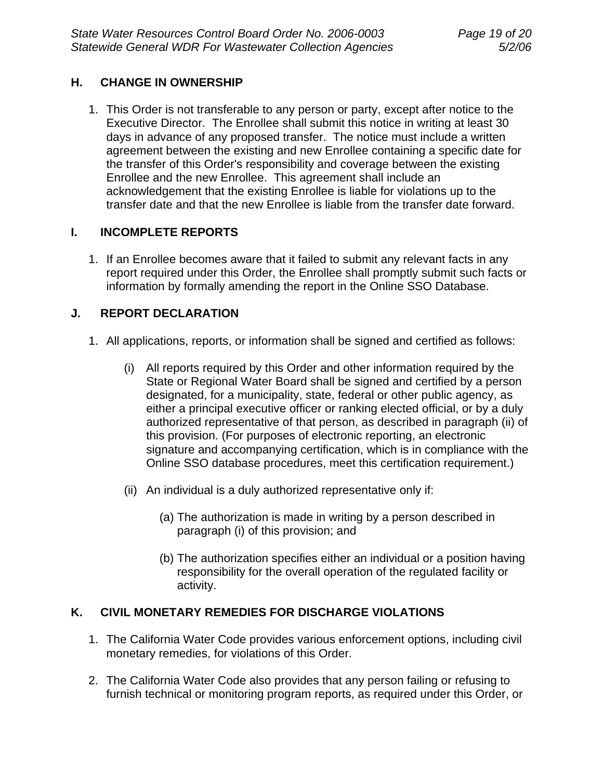### **H. CHANGE IN OWNERSHIP**

1. This Order is not transferable to any person or party, except after notice to the Executive Director. The Enrollee shall submit this notice in writing at least 30 days in advance of any proposed transfer. The notice must include a written agreement between the existing and new Enrollee containing a specific date for the transfer of this Order's responsibility and coverage between the existing Enrollee and the new Enrollee. This agreement shall include an acknowledgement that the existing Enrollee is liable for violations up to the transfer date and that the new Enrollee is liable from the transfer date forward.

### **I. INCOMPLETE REPORTS**

1. If an Enrollee becomes aware that it failed to submit any relevant facts in any report required under this Order, the Enrollee shall promptly submit such facts or information by formally amending the report in the Online SSO Database.

### **J. REPORT DECLARATION**

- 1. All applications, reports, or information shall be signed and certified as follows:
	- (i) All reports required by this Order and other information required by the State or Regional Water Board shall be signed and certified by a person designated, for a municipality, state, federal or other public agency, as either a principal executive officer or ranking elected official, or by a duly authorized representative of that person, as described in paragraph (ii) of this provision. (For purposes of electronic reporting, an electronic signature and accompanying certification, which is in compliance with the Online SSO database procedures, meet this certification requirement.)
	- (ii) An individual is a duly authorized representative only if:
		- (a) The authorization is made in writing by a person described in paragraph (i) of this provision; and
		- (b) The authorization specifies either an individual or a position having responsibility for the overall operation of the regulated facility or activity.

## **K. CIVIL MONETARY REMEDIES FOR DISCHARGE VIOLATIONS**

- 1. The California Water Code provides various enforcement options, including civil monetary remedies, for violations of this Order.
- 2. The California Water Code also provides that any person failing or refusing to furnish technical or monitoring program reports, as required under this Order, or